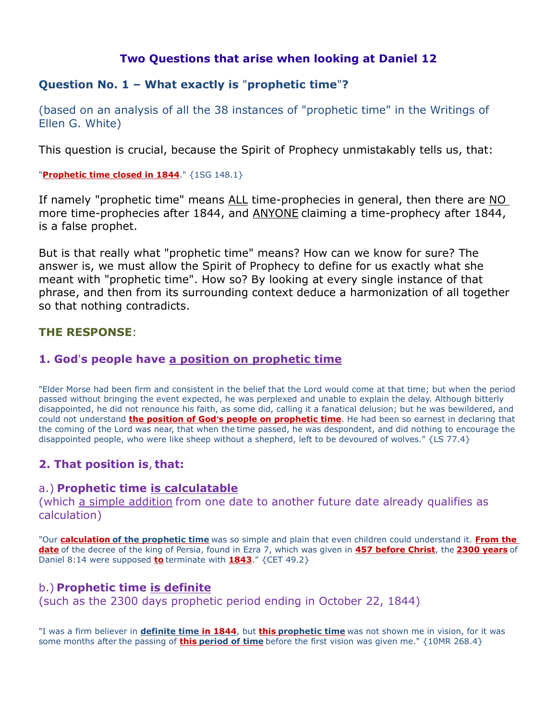# Two Questions that arise when looking at Daniel 12

# Question No. 1 – What exactly is "prophetic time"?

(based on an analysis of all the 38 instances of "prophetic time" in the Writings of Ellen G. White)

This question is crucial, because the Spirit of Prophecy unmistakably tells us, that:

#### "Prophetic time closed in 1844." {1SG 148.1}

If namely "prophetic time" means ALL time-prophecies in general, then there are NO more time-prophecies after 1844, and ANYONE claiming a time-prophecy after 1844, is a false prophet.

But is that really what "prophetic time" means? How can we know for sure? The answer is, we must allow the Spirit of Prophecy to define for us exactly what she meant with "prophetic time". How so? By looking at every single instance of that phrase, and then from its surrounding context deduce a harmonization of all together so that nothing contradicts.

## THE RESPONSE:

## 1. God's people have a position on prophetic time

"Elder Morse had been firm and consistent in the belief that the Lord would come at that time; but when the period passed without bringing the event expected, he was perplexed and unable to explain the delay. Although bitterly disappointed, he did not renounce his faith, as some did, calling it a fanatical delusion; but he was bewildered, and could not understand **the position of God's people on prophetic time**. He had been so earnest in declaring that the coming of the Lord was near, that when the time passed, he was despondent, and did nothing to encourage the disappointed people, who were like sheep without a shepherd, left to be devoured of wolves." {LS 77.4}

# 2. That position is, that:

## a.) Prophetic time is calculatable

(which a simple addition from one date to another future date already qualifies as calculation)

"Our calculation of the prophetic time was so simple and plain that even children could understand it. From the date of the decree of the king of Persia, found in Ezra 7, which was given in 457 before Christ, the 2300 years of Daniel 8:14 were supposed  $to$  terminate with  $1843$ ." {CET 49.2}</u>

# b.) Prophetic time is definite

(such as the 2300 days prophetic period ending in October 22, 1844)

"I was a firm believer in definite time in 1844, but this prophetic time was not shown me in vision, for it was some months after the passing of **this period of time** before the first vision was given me."  $\{10MR\ 268.4\}$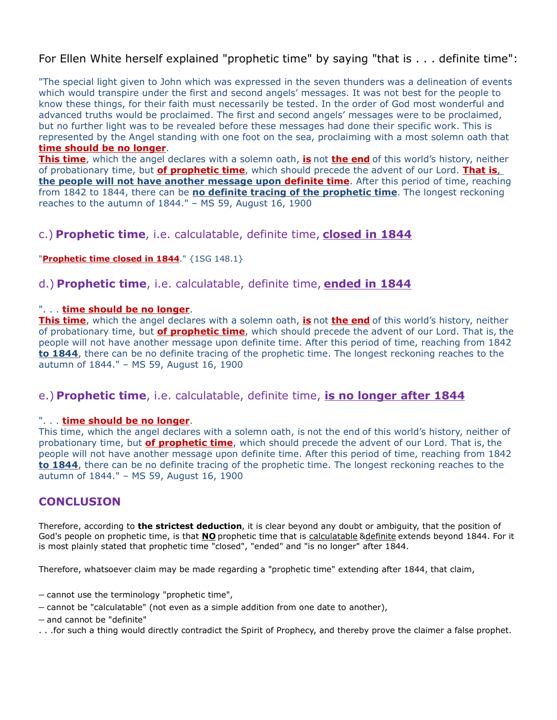# For Ellen White herself explained "prophetic time" by saying "that is . . . definite time":

"The special light given to John which was expressed in the seven thunders was a delineation of events which would transpire under the first and second angels' messages. It was not best for the people to know these things, for their faith must necessarily be tested. In the order of God most wonderful and advanced truths would be proclaimed. The first and second angels' messages were to be proclaimed, but no further light was to be revealed before these messages had done their specific work. This is represented by the Angel standing with one foot on the sea, proclaiming with a most solemn oath that time should be no longer.

**This time**, which the angel declares with a solemn oath, is not the end of this world's history, neither of probationary time, but of prophetic time, which should precede the advent of our Lord. That is, the people will not have another message upon definite time. After this period of time, reaching from 1842 to 1844, there can be **no definite tracing of the prophetic time**. The longest reckoning reaches to the autumn of 1844." – MS 59, August 16, 1900

## c.) Prophetic time, i.e. calculatable, definite time, closed in 1844

#### "Prophetic time closed in  $1844."$   $\{1SG\ 148.1\}$

## d.) Prophetic time, i.e. calculatable, definite time, ended in 1844

#### ". . . time should be no longer.

This time, which the angel declares with a solemn oath, is not the end of this world's history, neither of probationary time, but of prophetic time, which should precede the advent of our Lord. That is, the people will not have another message upon definite time. After this period of time, reaching from 1842 to 1844, there can be no definite tracing of the prophetic time. The longest reckoning reaches to the autumn of 1844." – MS 59, August 16, 1900

# e.) Prophetic time, i.e. calculatable, definite time, is no longer after 1844

#### ". . . time should be no longer.

This time, which the angel declares with a solemn oath, is not the end of this world's history, neither of probationary time, but of prophetic time, which should precede the advent of our Lord. That is, the people will not have another message upon definite time. After this period of time, reaching from 1842 to 1844, there can be no definite tracing of the prophetic time. The longest reckoning reaches to the autumn of 1844." – MS 59, August 16, 1900

## **CONCLUSION**

Therefore, according to the strictest deduction, it is clear beyond any doubt or ambiguity, that the position of God's people on prophetic time, is that NO prophetic time that is calculatable &definite extends beyond 1844. For it is most plainly stated that prophetic time "closed", "ended" and "is no longer" after 1844.

Therefore, whatsoever claim may be made regarding a "prophetic time" extending after 1844, that claim,

- cannot use the terminology "prophetic time",
- cannot be "calculatable" (not even as a simple addition from one date to another),
- and cannot be "definite"
- . . .for such a thing would directly contradict the Spirit of Prophecy, and thereby prove the claimer a false prophet.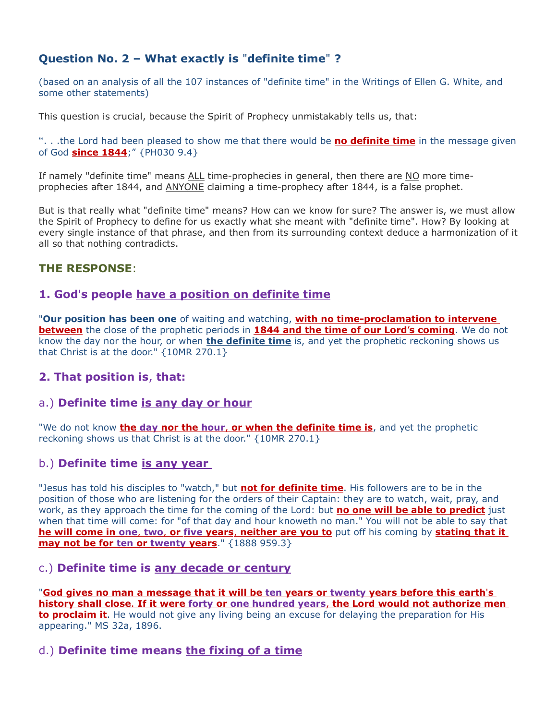# Question No. 2 – What exactly is "definite time" ?

(based on an analysis of all the 107 instances of "definite time" in the Writings of Ellen G. White, and some other statements)

This question is crucial, because the Spirit of Prophecy unmistakably tells us, that:

". . .the Lord had been pleased to show me that there would be **no definite time** in the message given of God **since 1844**;" {PH030 9.4}

If namely "definite time" means ALL time-prophecies in general, then there are NO more timeprophecies after 1844, and ANYONE claiming a time-prophecy after 1844, is a false prophet.

But is that really what "definite time" means? How can we know for sure? The answer is, we must allow the Spirit of Prophecy to define for us exactly what she meant with "definite time". How? By looking at every single instance of that phrase, and then from its surrounding context deduce a harmonization of it all so that nothing contradicts.

## THE RESPONSE:

## 1. God's people have a position on definite time

"Our position has been one of waiting and watching, **with no time-proclamation to intervene** between the close of the prophetic periods in 1844 and the time of our Lord's coming. We do not know the day nor the hour, or when **the definite time** is, and yet the prophetic reckoning shows us that Christ is at the door." {10MR 270.1}

## 2. That position is, that:

## a.) Definite time is any day or hour

"We do not know **the day nor the hour, or when the definite time is**, and yet the prophetic reckoning shows us that Christ is at the door." {10MR 270.1}

## b.) Definite time is any year

"Jesus has told his disciples to "watch," but **not for definite time**. His followers are to be in the position of those who are listening for the orders of their Captain: they are to watch, wait, pray, and work, as they approach the time for the coming of the Lord: but **no one will be able to predict** just when that time will come: for "of that day and hour knoweth no man." You will not be able to say that he will come in one, two, or five years, neither are you to put off his coming by stating that it may not be for ten or twenty years." {1888 959.3}

## c.) Definite time is any decade or century

"God gives no man a message that it will be ten years or twenty years before this earth 's history shall close. If it were forty or one hundred years, the Lord would not authorize men to proclaim it. He would not give any living being an excuse for delaying the preparation for His appearing." MS 32a, 1896.

# d.) Definite time means the fixing of a time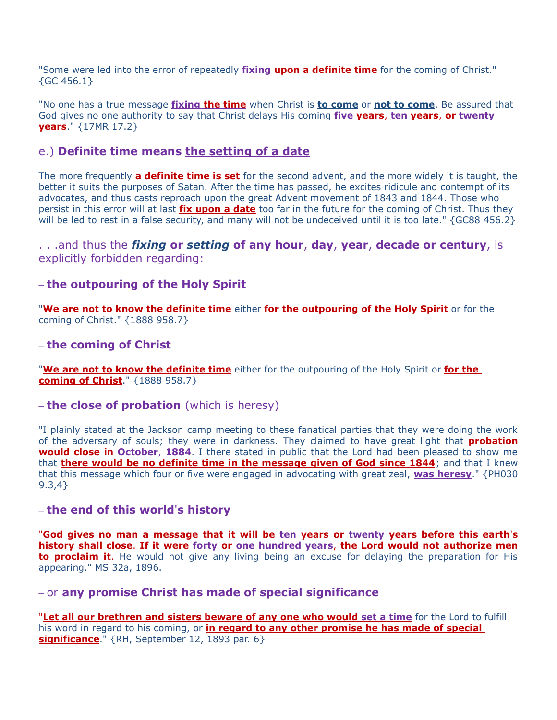"Some were led into the error of repeatedly *fixing upon a definite time* for the coming of Christ."  ${GC 456.1}$ 

"No one has a true message *fixing the time* when Christ is to come or not to come. Be assured that God gives no one authority to say that Christ delays His coming five years, ten years, or twenty **vears.**"  $\{17MR\ 17.2\}$ 

## e.) Definite time means the setting of a date

The more frequently **a definite time is set** for the second advent, and the more widely it is taught, the better it suits the purposes of Satan. After the time has passed, he excites ridicule and contempt of its advocates, and thus casts reproach upon the great Advent movement of 1843 and 1844. Those who persist in this error will at last *fix upon a date* too far in the future for the coming of Christ. Thus they will be led to rest in a false security, and many will not be undeceived until it is too late." {GC88 456.2}

#### ...and thus the *fixing* or setting of any hour, day, year, decade or century, is explicitly forbidden regarding:

## – the outpouring of the Holy Spirit

"We are not to know the definite time either for the outpouring of the Holy Spirit or for the coming of Christ." {1888 958.7}

#### – the coming of Christ

"We are not to know the definite time either for the outpouring of the Holy Spirit or for the coming of Christ." {1888 958.7}

#### $-$  the close of probation (which is heresy)

"I plainly stated at the Jackson camp meeting to these fanatical parties that they were doing the work of the adversary of souls; they were in darkness. They claimed to have great light that **probation** would close in October, 1884. I there stated in public that the Lord had been pleased to show me that there would be no definite time in the message given of God since 1844; and that I knew that this message which four or five were engaged in advocating with great zeal, was heresy." {PH030 9.3,4}

#### – the end of this world's history

"God gives no man a message that it will be ten years or twenty years before this earth's history shall close. If it were forty or one hundred years, the Lord would not authorize men to **proclaim it**. He would not give any living being an excuse for delaying the preparation for His appearing." MS 32a, 1896.

#### – or any promise Christ has made of special significance

"Let all our brethren and sisters beware of any one who would set a time for the Lord to fulfill his word in regard to his coming, or in regard to any other promise he has made of special significance." {RH, September 12, 1893 par. 6}